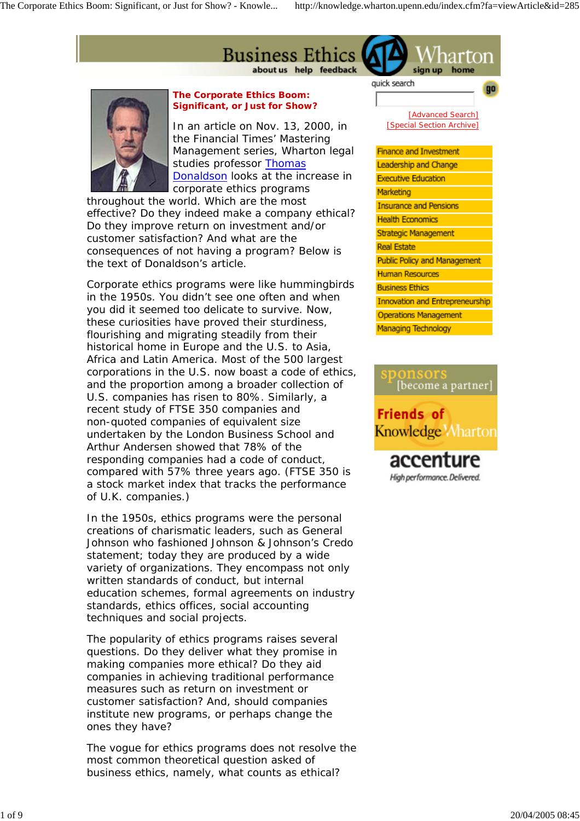



**The Corporate Ethics Boom: Significant, or Just for Show?**

*In an article on Nov. 13, 2000, in the Financial Times' Mastering Management series, Wharton legal studies professor Thomas Donaldson looks at the increase in corporate ethics programs*

*throughout the world. Which are the most effective? Do they indeed make a company ethical? Do they improve return on investment and/or customer satisfaction? And what are the consequences of not having a program? Below is the text of Donaldson's article.*

Corporate ethics programs were like hummingbirds in the 1950s. You didn't see one often and when you did it seemed too delicate to survive. Now, these curiosities have proved their sturdiness, flourishing and migrating steadily from their historical home in Europe and the U.S. to Asia, Africa and Latin America. Most of the 500 largest corporations in the U.S. now boast a code of ethics, and the proportion among a broader collection of U.S. companies has risen to 80%. Similarly, a recent study of FTSE 350 companies and non-quoted companies of equivalent size undertaken by the London Business School and Arthur Andersen showed that 78% of the responding companies had a code of conduct, compared with 57% three years ago. (FTSE 350 is a stock market index that tracks the performance of U.K. companies.)

In the 1950s, ethics programs were the personal creations of charismatic leaders, such as General Johnson who fashioned Johnson & Johnson's Credo statement; today they are produced by a wide variety of organizations. They encompass not only written standards of conduct, but internal education schemes, formal agreements on industry standards, ethics offices, social accounting techniques and social projects.

The popularity of ethics programs raises several questions. Do they deliver what they promise in making companies more ethical? Do they aid companies in achieving traditional performance measures such as return on investment or customer satisfaction? And, should companies institute new programs, or perhaps change the ones they have?

The vogue for ethics programs does not resolve the most common theoretical question asked of business ethics, namely, what counts as ethical?

quick search

[Advanced Search] [Special Section Archive]

| <b>Finance and Investment</b>          |
|----------------------------------------|
| Leadership and Change                  |
| <b>Executive Education</b>             |
| Marketing                              |
| <b>Insurance and Pensions</b>          |
| <b>Health Economics</b>                |
| Strategic Management                   |
| <b>Real Estate</b>                     |
| <b>Public Policy and Management</b>    |
| <b>Human Resources</b>                 |
| <b>Business Ethics</b>                 |
| <b>Innovation and Entrepreneurship</b> |
| <b>Operations Management</b>           |
| Managing Technology                    |
|                                        |

## [become a partner]

**Friends of Knowledge Marton** 

> accent High performance. Delivered.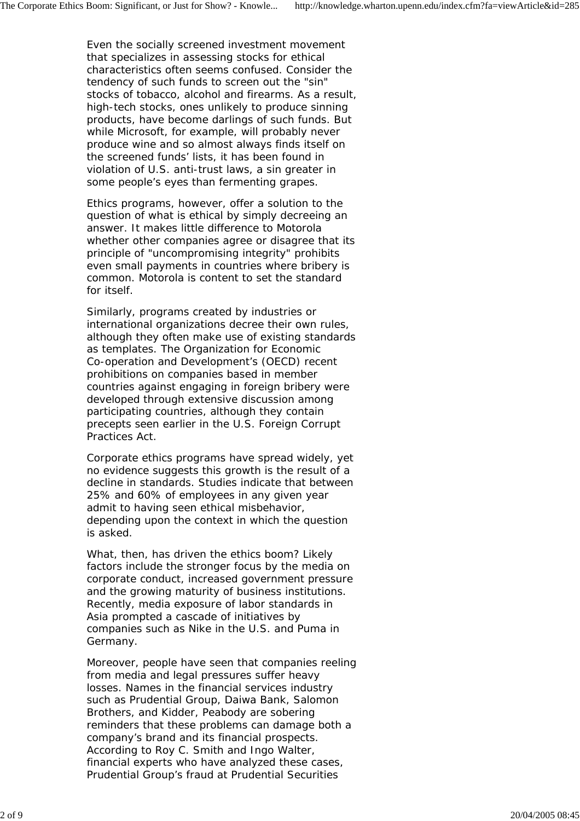Even the socially screened investment movement that specializes in assessing stocks for ethical characteristics often seems confused. Consider the tendency of such funds to screen out the "sin" stocks of tobacco, alcohol and firearms. As a result, high-tech stocks, ones unlikely to produce sinning products, have become darlings of such funds. But while Microsoft, for example, will probably never produce wine and so almost always finds itself on the screened funds' lists, it has been found in violation of U.S. anti-trust laws, a sin greater in some people's eyes than fermenting grapes.

Ethics programs, however, offer a solution to the question of what is ethical by simply decreeing an answer. It makes little difference to Motorola whether other companies agree or disagree that its principle of "uncompromising integrity" prohibits even small payments in countries where bribery is common. Motorola is content to set the standard for itself.

Similarly, programs created by industries or international organizations decree their own rules, although they often make use of existing standards as templates. The Organization for Economic Co-operation and Development's (OECD) recent prohibitions on companies based in member countries against engaging in foreign bribery were developed through extensive discussion among participating countries, although they contain precepts seen earlier in the U.S. Foreign Corrupt Practices Act.

Corporate ethics programs have spread widely, yet no evidence suggests this growth is the result of a decline in standards. Studies indicate that between 25% and 60% of employees in any given year admit to having seen ethical misbehavior, depending upon the context in which the question is asked.

What, then, has driven the ethics boom? Likely factors include the stronger focus by the media on corporate conduct, increased government pressure and the growing maturity of business institutions. Recently, media exposure of labor standards in Asia prompted a cascade of initiatives by companies such as Nike in the U.S. and Puma in Germany.

Moreover, people have seen that companies reeling from media and legal pressures suffer heavy losses. Names in the financial services industry such as Prudential Group, Daiwa Bank, Salomon Brothers, and Kidder, Peabody are sobering reminders that these problems can damage both a company's brand and its financial prospects. According to Roy C. Smith and Ingo Walter, financial experts who have analyzed these cases, Prudential Group's fraud at Prudential Securities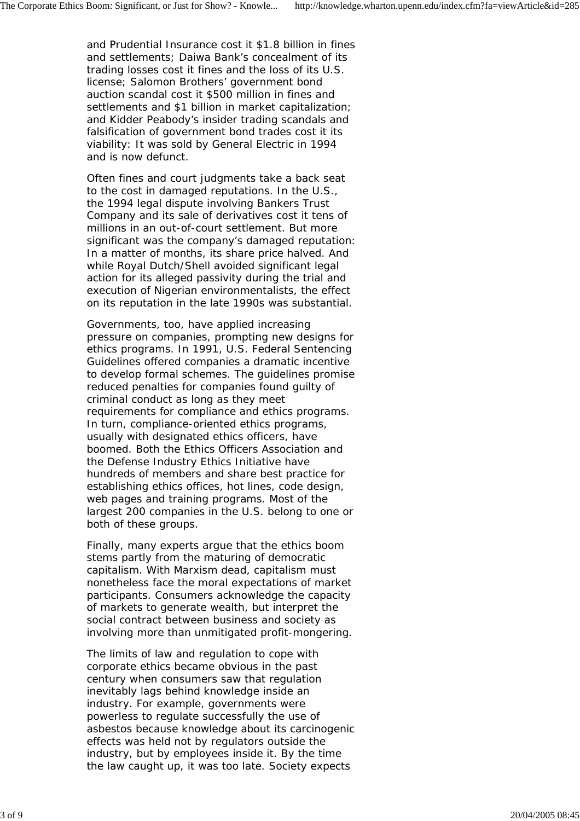and Prudential Insurance cost it \$1.8 billion in fines and settlements; Daiwa Bank's concealment of its trading losses cost it fines and the loss of its U.S. license; Salomon Brothers' government bond auction scandal cost it \$500 million in fines and settlements and \$1 billion in market capitalization; and Kidder Peabody's insider trading scandals and falsification of government bond trades cost it its viability: It was sold by General Electric in 1994 and is now defunct.

Often fines and court judgments take a back seat to the cost in damaged reputations. In the U.S., the 1994 legal dispute involving Bankers Trust Company and its sale of derivatives cost it tens of millions in an out-of-court settlement. But more significant was the company's damaged reputation: In a matter of months, its share price halved. And while Royal Dutch/Shell avoided significant legal action for its alleged passivity during the trial and execution of Nigerian environmentalists, the effect on its reputation in the late 1990s was substantial.

Governments, too, have applied increasing pressure on companies, prompting new designs for ethics programs. In 1991, U.S. Federal Sentencing Guidelines offered companies a dramatic incentive to develop formal schemes. The guidelines promise reduced penalties for companies found guilty of criminal conduct as long as they meet requirements for compliance and ethics programs. In turn, compliance-oriented ethics programs, usually with designated ethics officers, have boomed. Both the Ethics Officers Association and the Defense Industry Ethics Initiative have hundreds of members and share best practice for establishing ethics offices, hot lines, code design, web pages and training programs. Most of the largest 200 companies in the U.S. belong to one or both of these groups.

Finally, many experts argue that the ethics boom stems partly from the maturing of democratic capitalism. With Marxism dead, capitalism must nonetheless face the moral expectations of market participants. Consumers acknowledge the capacity of markets to generate wealth, but interpret the social contract between business and society as involving more than unmitigated profit-mongering.

The limits of law and regulation to cope with corporate ethics became obvious in the past century when consumers saw that regulation inevitably lags behind knowledge inside an industry. For example, governments were powerless to regulate successfully the use of asbestos because knowledge about its carcinogenic effects was held not by regulators outside the industry, but by employees inside it. By the time the law caught up, it was too late. Society expects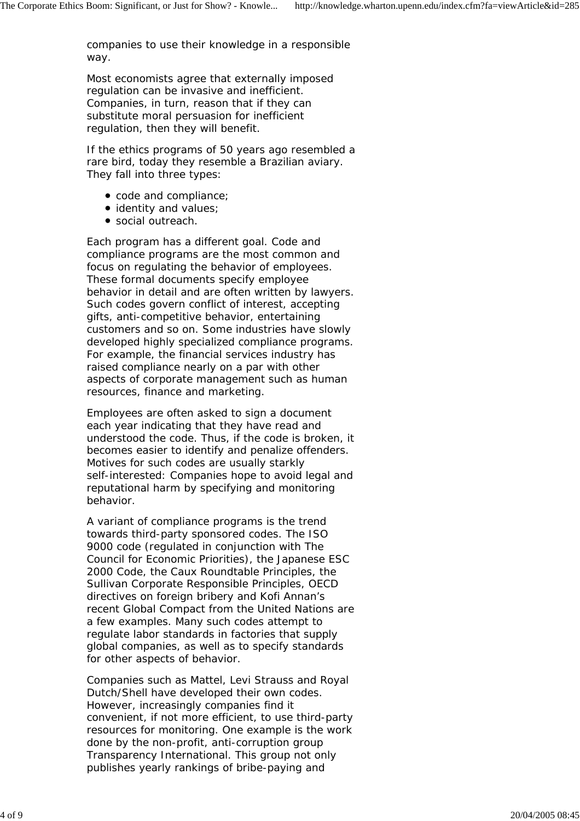companies to use their knowledge in a responsible way.

Most economists agree that externally imposed regulation can be invasive and inefficient. Companies, in turn, reason that if they can substitute moral persuasion for inefficient regulation, then they will benefit.

If the ethics programs of 50 years ago resembled a rare bird, today they resemble a Brazilian aviary. They fall into three types:

- code and compliance;
- identity and values;
- social outreach.

Each program has a different goal. Code and compliance programs are the most common and focus on regulating the behavior of employees. These formal documents specify employee behavior in detail and are often written by lawyers. Such codes govern conflict of interest, accepting gifts, anti-competitive behavior, entertaining customers and so on. Some industries have slowly developed highly specialized compliance programs. For example, the financial services industry has raised compliance nearly on a par with other aspects of corporate management such as human resources, finance and marketing.

Employees are often asked to sign a document each year indicating that they have read and understood the code. Thus, if the code is broken, it becomes easier to identify and penalize offenders. Motives for such codes are usually starkly self-interested: Companies hope to avoid legal and reputational harm by specifying and monitoring behavior.

A variant of compliance programs is the trend towards third-party sponsored codes. The ISO 9000 code (regulated in conjunction with The Council for Economic Priorities), the Japanese ESC 2000 Code, the Caux Roundtable Principles, the Sullivan Corporate Responsible Principles, OECD directives on foreign bribery and Kofi Annan's recent Global Compact from the United Nations are a few examples. Many such codes attempt to regulate labor standards in factories that supply global companies, as well as to specify standards for other aspects of behavior.

Companies such as Mattel, Levi Strauss and Royal Dutch/Shell have developed their own codes. However, increasingly companies find it convenient, if not more efficient, to use third-party resources for monitoring. One example is the work done by the non-profit, anti-corruption group Transparency International. This group not only publishes yearly rankings of bribe-paying and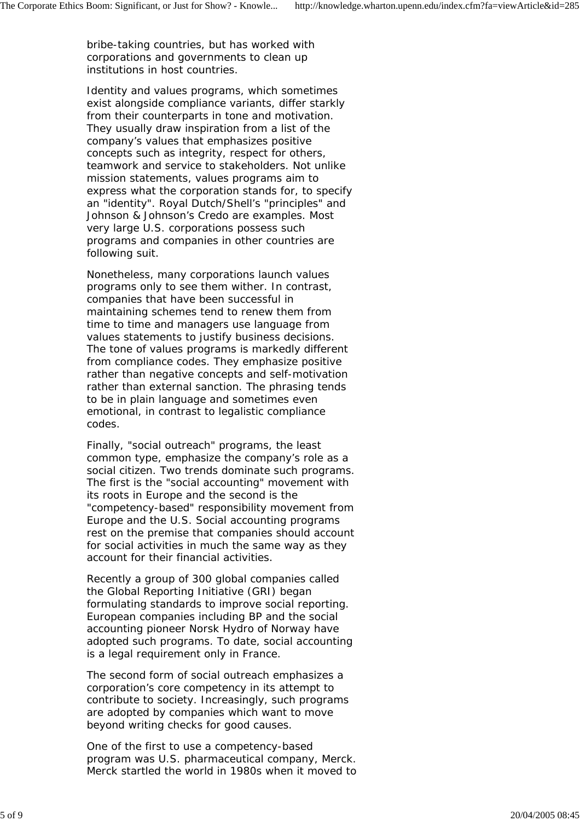bribe-taking countries, but has worked with corporations and governments to clean up institutions in host countries.

Identity and values programs, which sometimes exist alongside compliance variants, differ starkly from their counterparts in tone and motivation. They usually draw inspiration from a list of the company's values that emphasizes positive concepts such as integrity, respect for others, teamwork and service to stakeholders. Not unlike mission statements, values programs aim to express what the corporation stands for, to specify an "identity". Royal Dutch/Shell's "principles" and Johnson & Johnson's Credo are examples. Most very large U.S. corporations possess such programs and companies in other countries are following suit.

Nonetheless, many corporations launch values programs only to see them wither. In contrast, companies that have been successful in maintaining schemes tend to renew them from time to time and managers use language from values statements to justify business decisions. The tone of values programs is markedly different from compliance codes. They emphasize positive rather than negative concepts and self-motivation rather than external sanction. The phrasing tends to be in plain language and sometimes even emotional, in contrast to legalistic compliance codes.

Finally, "social outreach" programs, the least common type, emphasize the company's role as a social citizen. Two trends dominate such programs. The first is the "social accounting" movement with its roots in Europe and the second is the "competency-based" responsibility movement from Europe and the U.S. Social accounting programs rest on the premise that companies should account for social activities in much the same way as they account for their financial activities.

Recently a group of 300 global companies called the Global Reporting Initiative (GRI) began formulating standards to improve social reporting. European companies including BP and the social accounting pioneer Norsk Hydro of Norway have adopted such programs. To date, social accounting is a legal requirement only in France.

The second form of social outreach emphasizes a corporation's core competency in its attempt to contribute to society. Increasingly, such programs are adopted by companies which want to move beyond writing checks for good causes.

One of the first to use a competency-based program was U.S. pharmaceutical company, Merck. Merck startled the world in 1980s when it moved to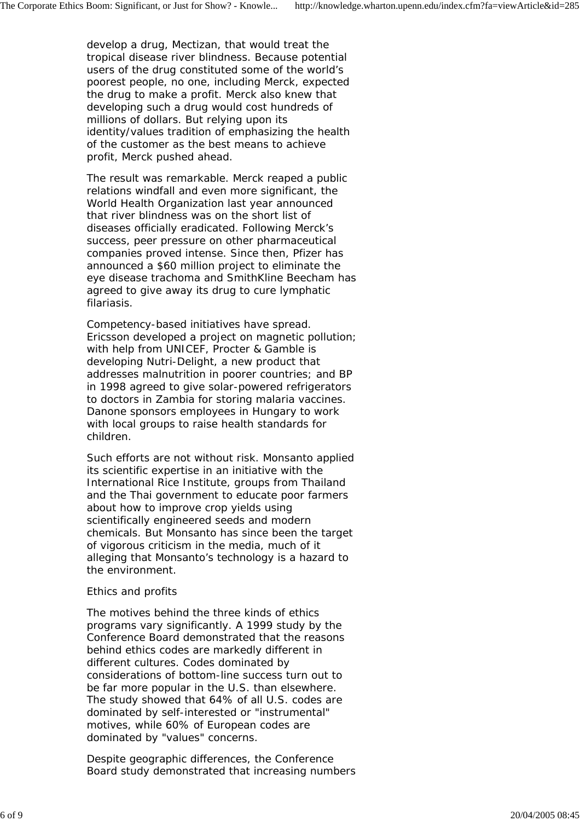develop a drug, Mectizan, that would treat the tropical disease river blindness. Because potential users of the drug constituted some of the world's poorest people, no one, including Merck, expected the drug to make a profit. Merck also knew that developing such a drug would cost hundreds of millions of dollars. But relying upon its identity/values tradition of emphasizing the health of the customer as the best means to achieve profit, Merck pushed ahead.

The result was remarkable. Merck reaped a public relations windfall and even more significant, the World Health Organization last year announced that river blindness was on the short list of diseases officially eradicated. Following Merck's success, peer pressure on other pharmaceutical companies proved intense. Since then, Pfizer has announced a \$60 million project to eliminate the eye disease trachoma and SmithKline Beecham has agreed to give away its drug to cure lymphatic filariasis.

Competency-based initiatives have spread. Ericsson developed a project on magnetic pollution; with help from UNICEF, Procter & Gamble is developing Nutri-Delight, a new product that addresses malnutrition in poorer countries; and BP in 1998 agreed to give solar-powered refrigerators to doctors in Zambia for storing malaria vaccines. Danone sponsors employees in Hungary to work with local groups to raise health standards for children.

Such efforts are not without risk. Monsanto applied its scientific expertise in an initiative with the International Rice Institute, groups from Thailand and the Thai government to educate poor farmers about how to improve crop yields using scientifically engineered seeds and modern chemicals. But Monsanto has since been the target of vigorous criticism in the media, much of it alleging that Monsanto's technology is a hazard to the environment.

## Ethics and profits

The motives behind the three kinds of ethics programs vary significantly. A 1999 study by the Conference Board demonstrated that the reasons behind ethics codes are markedly different in different cultures. Codes dominated by considerations of bottom-line success turn out to be far more popular in the U.S. than elsewhere. The study showed that 64% of all U.S. codes are dominated by self-interested or "instrumental" motives, while 60% of European codes are dominated by "values" concerns.

Despite geographic differences, the Conference Board study demonstrated that increasing numbers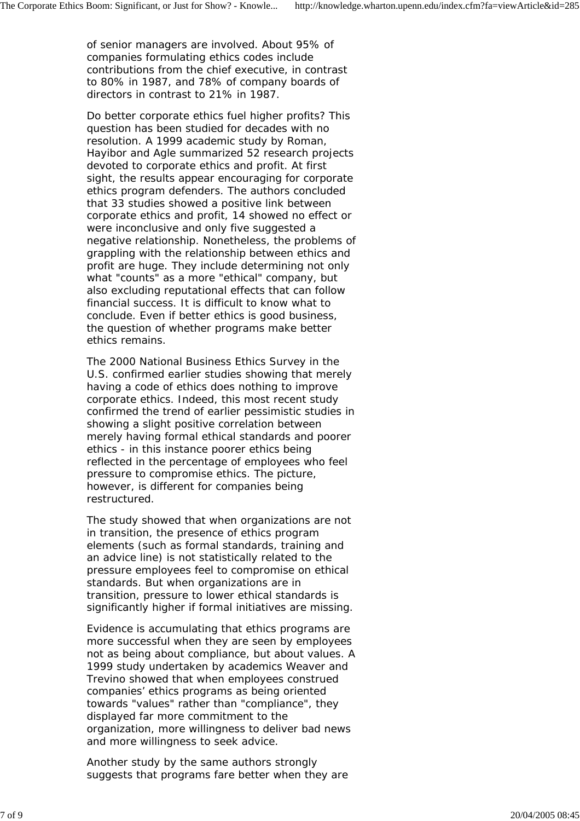of senior managers are involved. About 95% of companies formulating ethics codes include contributions from the chief executive, in contrast to 80% in 1987, and 78% of company boards of directors in contrast to 21% in 1987.

Do better corporate ethics fuel higher profits? This question has been studied for decades with no resolution. A 1999 academic study by Roman, Hayibor and Agle summarized 52 research projects devoted to corporate ethics and profit. At first sight, the results appear encouraging for corporate ethics program defenders. The authors concluded that 33 studies showed a positive link between corporate ethics and profit, 14 showed no effect or were inconclusive and only five suggested a negative relationship. Nonetheless, the problems of grappling with the relationship between ethics and profit are huge. They include determining not only what "counts" as a more "ethical" company, but also excluding reputational effects that can follow financial success. It is difficult to know what to conclude. Even if better ethics is good business, the question of whether programs make better ethics remains.

The 2000 National Business Ethics Survey in the U.S. confirmed earlier studies showing that merely having a code of ethics does nothing to improve corporate ethics. Indeed, this most recent study confirmed the trend of earlier pessimistic studies in showing a slight positive correlation between merely having formal ethical standards and poorer ethics - in this instance poorer ethics being reflected in the percentage of employees who feel pressure to compromise ethics. The picture, however, is different for companies being restructured.

The study showed that when organizations are not in transition, the presence of ethics program elements (such as formal standards, training and an advice line) is not statistically related to the pressure employees feel to compromise on ethical standards. But when organizations are in transition, pressure to lower ethical standards is significantly higher if formal initiatives are missing.

Evidence is accumulating that ethics programs are more successful when they are seen by employees not as being about compliance, but about values. A 1999 study undertaken by academics Weaver and Trevino showed that when employees construed companies' ethics programs as being oriented towards "values" rather than "compliance", they displayed far more commitment to the organization, more willingness to deliver bad news and more willingness to seek advice.

Another study by the same authors strongly suggests that programs fare better when they are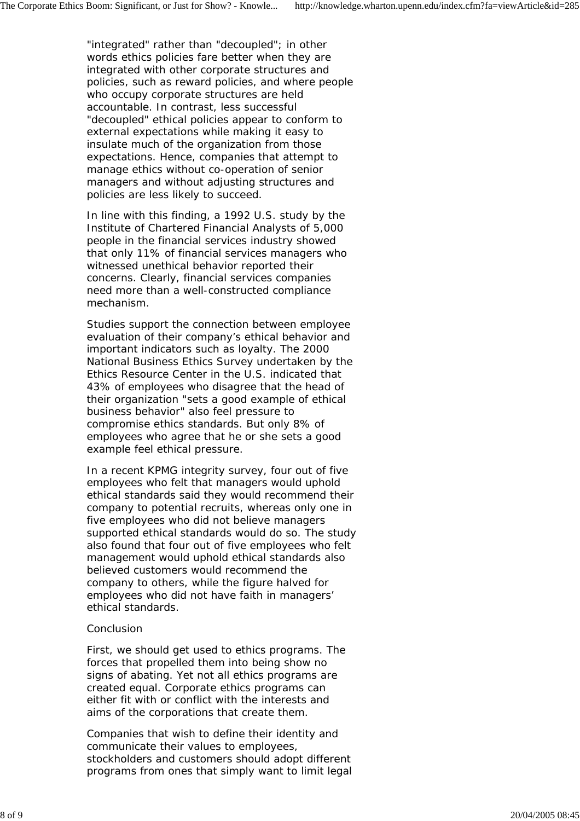"integrated" rather than "decoupled"; in other words ethics policies fare better when they are integrated with other corporate structures and policies, such as reward policies, and where people who occupy corporate structures are held accountable. In contrast, less successful "decoupled" ethical policies appear to conform to external expectations while making it easy to insulate much of the organization from those expectations. Hence, companies that attempt to manage ethics without co-operation of senior managers and without adjusting structures and policies are less likely to succeed.

In line with this finding, a 1992 U.S. study by the Institute of Chartered Financial Analysts of 5,000 people in the financial services industry showed that only 11% of financial services managers who witnessed unethical behavior reported their concerns. Clearly, financial services companies need more than a well-constructed compliance mechanism.

Studies support the connection between employee evaluation of their company's ethical behavior and important indicators such as loyalty. The 2000 National Business Ethics Survey undertaken by the Ethics Resource Center in the U.S. indicated that 43% of employees who disagree that the head of their organization "sets a good example of ethical business behavior" also feel pressure to compromise ethics standards. But only 8% of employees who agree that he or she sets a good example feel ethical pressure.

In a recent KPMG integrity survey, four out of five employees who felt that managers would uphold ethical standards said they would recommend their company to potential recruits, whereas only one in five employees who did not believe managers supported ethical standards would do so. The study also found that four out of five employees who felt management would uphold ethical standards also believed customers would recommend the company to others, while the figure halved for employees who did not have faith in managers' ethical standards.

## Conclusion

First, we should get used to ethics programs. The forces that propelled them into being show no signs of abating. Yet not all ethics programs are created equal. Corporate ethics programs can either fit with or conflict with the interests and aims of the corporations that create them.

Companies that wish to define their identity and communicate their values to employees, stockholders and customers should adopt different programs from ones that simply want to limit legal